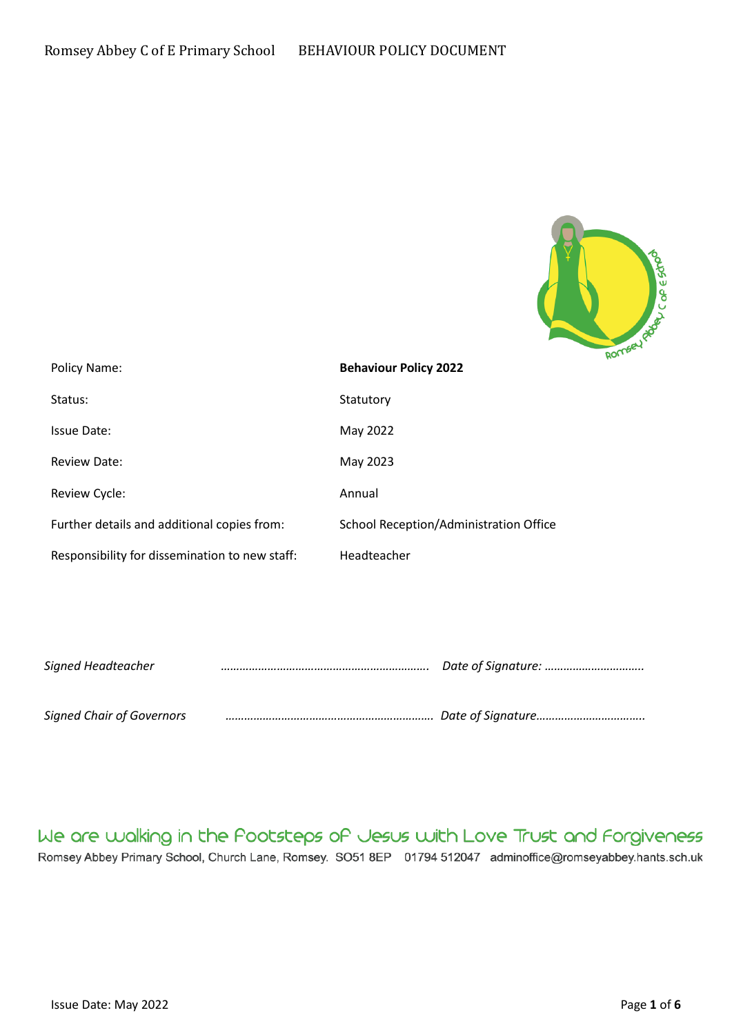

| Policy Name:                                   | $\sim$<br><b>Behaviour Policy 2022</b> |
|------------------------------------------------|----------------------------------------|
| Status:                                        | Statutory                              |
| <b>Issue Date:</b>                             | May 2022                               |
| <b>Review Date:</b>                            | May 2023                               |
| Review Cycle:                                  | Annual                                 |
| Further details and additional copies from:    | School Reception/Administration Office |
| Responsibility for dissemination to new staff: | Headteacher                            |

| Signed Headteacher               |  |
|----------------------------------|--|
| <b>Signed Chair of Governors</b> |  |

# We are walking in the Pootsteps of Jesus with Love Trust and Forgiveness

Romsey Abbey Primary School, Church Lane, Romsey. SO51 8EP 01794 512047 adminoffice@romseyabbey.hants.sch.uk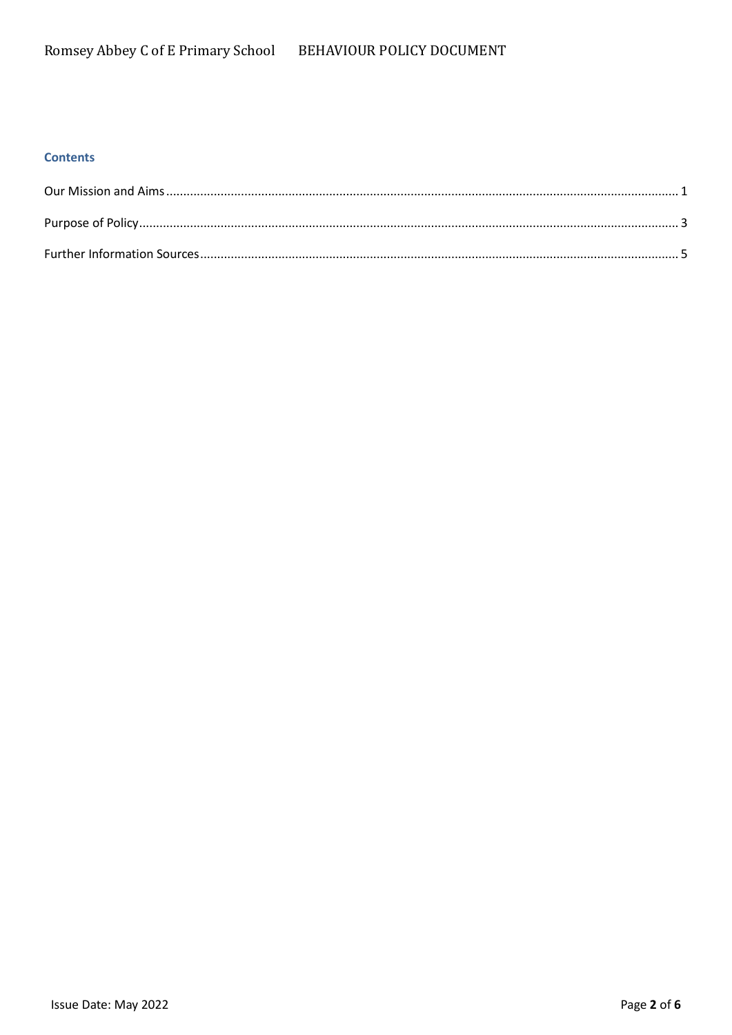### **Contents**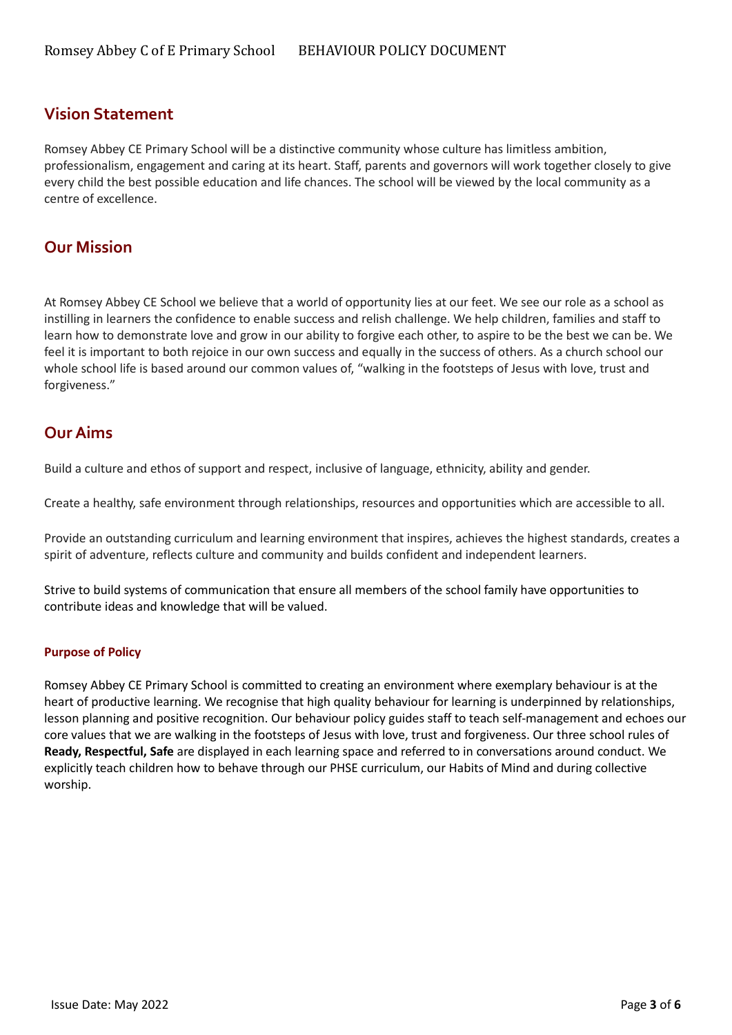# **Vision Statement**

Romsey Abbey CE Primary School will be a distinctive community whose culture has limitless ambition, professionalism, engagement and caring at its heart. Staff, parents and governors will work together closely to give every child the best possible education and life chances. The school will be viewed by the local community as a centre of excellence.

# **Our Mission**

At Romsey Abbey CE School we believe that a world of opportunity lies at our feet. We see our role as a school as instilling in learners the confidence to enable success and relish challenge. We help children, families and staff to learn how to demonstrate love and grow in our ability to forgive each other, to aspire to be the best we can be. We feel it is important to both rejoice in our own success and equally in the success of others. As a church school our whole school life is based around our common values of, "walking in the footsteps of Jesus with love, trust and forgiveness."

# **Our Aims**

Build a culture and ethos of support and respect, inclusive of language, ethnicity, ability and gender.

Create a healthy, safe environment through relationships, resources and opportunities which are accessible to all.

Provide an outstanding curriculum and learning environment that inspires, achieves the highest standards, creates a spirit of adventure, reflects culture and community and builds confident and independent learners.

Strive to build systems of communication that ensure all members of the school family have opportunities to contribute ideas and knowledge that will be valued.

### <span id="page-2-0"></span>**Purpose of Policy**

Romsey Abbey CE Primary School is committed to creating an environment where exemplary behaviour is at the heart of productive learning. We recognise that high quality behaviour for learning is underpinned by relationships, lesson planning and positive recognition. Our behaviour policy guides staff to teach self-management and echoes our core values that we are walking in the footsteps of Jesus with love, trust and forgiveness. Our three school rules of **Ready, Respectful, Safe** are displayed in each learning space and referred to in conversations around conduct. We explicitly teach children how to behave through our PHSE curriculum, our Habits of Mind and during collective worship.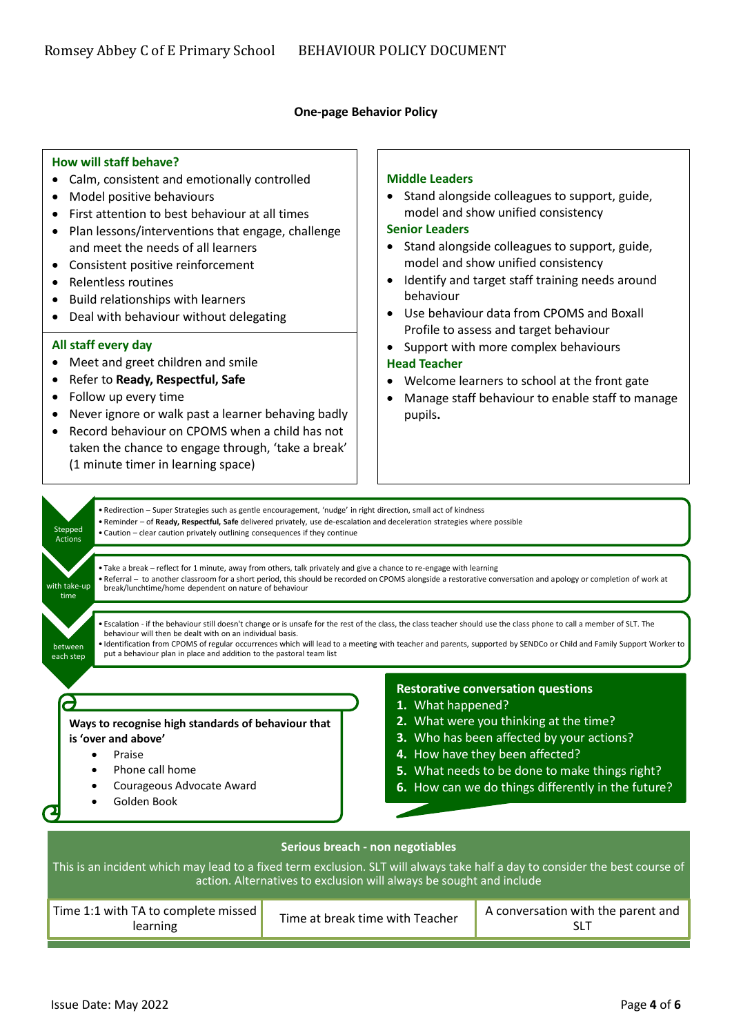#### **One-page Behavior Policy**

#### **How will staff behave?**

- Calm, consistent and emotionally controlled
- Model positive behaviours
- First attention to best behaviour at all times
- Plan lessons/interventions that engage, challenge and meet the needs of all learners
- Consistent positive reinforcement
- Relentless routines
- Build relationships with learners
- Deal with behaviour without delegating

#### **All staff every day**

- Meet and greet children and smile
- Refer to **Ready, Respectful, Safe**
- Follow up every time
- Never ignore or walk past a learner behaving badly
- Record behaviour on CPOMS when a child has not taken the chance to engage through, 'take a break' (1 minute timer in learning space)

#### **Middle Leaders**

• Stand alongside colleagues to support, guide, model and show unified consistency

#### **Senior Leaders**

- Stand alongside colleagues to support, guide, model and show unified consistency
- Identify and target staff training needs around behaviour
- Use behaviour data from CPOMS and Boxall Profile to assess and target behaviour
- Support with more complex behaviours

#### **Head Teacher**

- Welcome learners to school at the front gate
- Manage staff behaviour to enable staff to manage pupils**.**

<span id="page-3-0"></span>